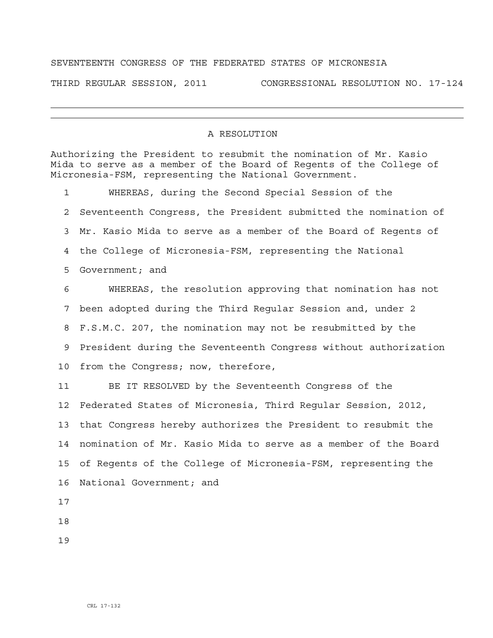## SEVENTEENTH CONGRESS OF THE FEDERATED STATES OF MICRONESIA

THIRD REGULAR SESSION, 2011 CONGRESSIONAL RESOLUTION NO. 17-124

## A RESOLUTION

Authorizing the President to resubmit the nomination of Mr. Kasio Mida to serve as a member of the Board of Regents of the College of Micronesia-FSM, representing the National Government.

1 WHEREAS, during the Second Special Session of the 2 Seventeenth Congress, the President submitted the nomination of 3 Mr. Kasio Mida to serve as a member of the Board of Regents of 4 the College of Micronesia-FSM, representing the National 5 Government; and

6 WHEREAS, the resolution approving that nomination has not 7 been adopted during the Third Regular Session and, under 2 8 F.S.M.C. 207, the nomination may not be resubmitted by the 9 President during the Seventeenth Congress without authorization 10 from the Congress; now, therefore,

11 BE IT RESOLVED by the Seventeenth Congress of the 12 Federated States of Micronesia, Third Regular Session, 2012, 13 that Congress hereby authorizes the President to resubmit the 14 nomination of Mr. Kasio Mida to serve as a member of the Board 15 of Regents of the College of Micronesia-FSM, representing the 16 National Government; and

17

18

19